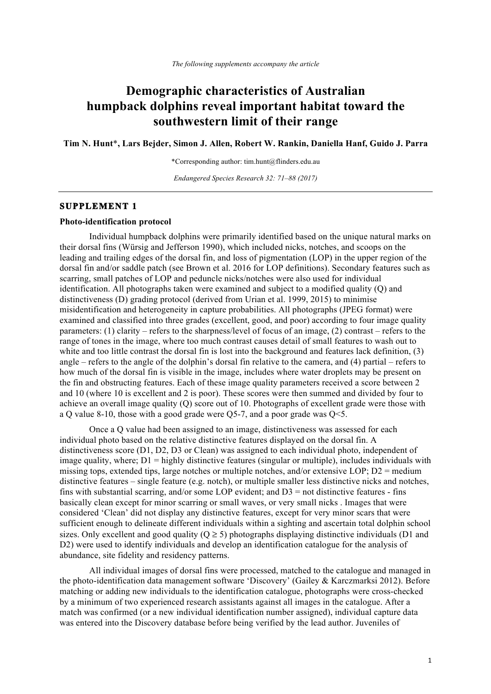# **Demographic characteristics of Australian humpback dolphins reveal important habitat toward the southwestern limit of their range**

**Tim N. Hunt**\***, Lars Bejder, Simon J. Allen, Robert W. Rankin, Daniella Hanf, Guido J. Parra**

\*Corresponding author: tim.hunt@flinders.edu.au

*Endangered Species Research 32: 71–88 (2017)*

## **SUPPLEMENT 1**

#### **Photo-identification protocol**

Individual humpback dolphins were primarily identified based on the unique natural marks on their dorsal fins (Würsig and Jefferson 1990), which included nicks, notches, and scoops on the leading and trailing edges of the dorsal fin, and loss of pigmentation (LOP) in the upper region of the dorsal fin and/or saddle patch (see Brown et al. 2016 for LOP definitions). Secondary features such as scarring, small patches of LOP and peduncle nicks/notches were also used for individual identification. All photographs taken were examined and subject to a modified quality (Q) and distinctiveness (D) grading protocol (derived from Urian et al. 1999, 2015) to minimise misidentification and heterogeneity in capture probabilities. All photographs (JPEG format) were examined and classified into three grades (excellent, good, and poor) according to four image quality parameters: (1) clarity – refers to the sharpness/level of focus of an image, (2) contrast – refers to the range of tones in the image, where too much contrast causes detail of small features to wash out to white and too little contrast the dorsal fin is lost into the background and features lack definition, (3) angle – refers to the angle of the dolphin's dorsal fin relative to the camera, and (4) partial – refers to how much of the dorsal fin is visible in the image, includes where water droplets may be present on the fin and obstructing features. Each of these image quality parameters received a score between 2 and 10 (where 10 is excellent and 2 is poor). These scores were then summed and divided by four to achieve an overall image quality (Q) score out of 10. Photographs of excellent grade were those with a Q value 8-10, those with a good grade were  $O5$ -7, and a poor grade was  $O \le 5$ .

Once a Q value had been assigned to an image, distinctiveness was assessed for each individual photo based on the relative distinctive features displayed on the dorsal fin. A distinctiveness score (D1, D2, D3 or Clean) was assigned to each individual photo, independent of image quality, where;  $D1 =$  highly distinctive features (singular or multiple), includes individuals with missing tops, extended tips, large notches or multiple notches, and/or extensive LOP; D2 = medium distinctive features – single feature (e.g. notch), or multiple smaller less distinctive nicks and notches, fins with substantial scarring, and/or some LOP evident; and  $D3 =$  not distinctive features - fins basically clean except for minor scarring or small waves, or very small nicks . Images that were considered 'Clean' did not display any distinctive features, except for very minor scars that were sufficient enough to delineate different individuals within a sighting and ascertain total dolphin school sizes. Only excellent and good quality ( $Q \ge 5$ ) photographs displaying distinctive individuals (D1 and D2) were used to identify individuals and develop an identification catalogue for the analysis of abundance, site fidelity and residency patterns.

All individual images of dorsal fins were processed, matched to the catalogue and managed in the photo-identification data management software 'Discovery' (Gailey & Karczmarksi 2012). Before matching or adding new individuals to the identification catalogue, photographs were cross-checked by a minimum of two experienced research assistants against all images in the catalogue. After a match was confirmed (or a new individual identification number assigned), individual capture data was entered into the Discovery database before being verified by the lead author. Juveniles of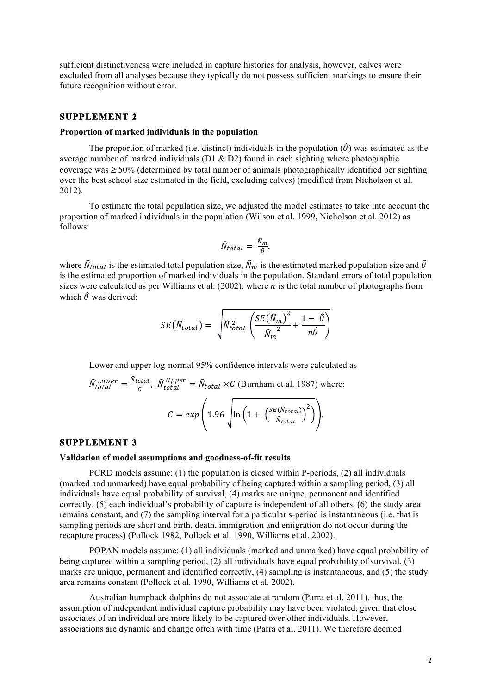sufficient distinctiveness were included in capture histories for analysis, however, calves were excluded from all analyses because they typically do not possess sufficient markings to ensure their future recognition without error.

## **SUPPLEMENT 2**

#### **Proportion of marked individuals in the population**

The proportion of marked (i.e. distinct) individuals in the population  $(\hat{\theta})$  was estimated as the average number of marked individuals (D1 & D2) found in each sighting where photographic coverage was  $\geq 50\%$  (determined by total number of animals photographically identified per sighting over the best school size estimated in the field, excluding calves) (modified from Nicholson et al. 2012).

To estimate the total population size, we adjusted the model estimates to take into account the proportion of marked individuals in the population (Wilson et al. 1999, Nicholson et al. 2012) as follows:

$$
\widehat{N}_{total} = \frac{\widehat{N}_m}{\widehat{\theta}},
$$

where  $\hat{N}_{total}$  is the estimated total population size,  $\hat{N}_m$  is the estimated marked population size and  $\hat{\theta}$ is the estimated proportion of marked individuals in the population. Standard errors of total population sizes were calculated as per Williams et al. (2002), where  $\overline{n}$  is the total number of photographs from which  $\hat{\theta}$  was derived:

$$
SE(\widehat{N}_{total}) = \sqrt{\widehat{N}_{total}^2 \left( \frac{SE(\widehat{N}_m)^2}{\widehat{N}_m^2} + \frac{1 - \widehat{\theta}}{n \widehat{\theta}} \right)}
$$

Lower and upper log-normal 95% confidence intervals were calculated as

$$
\widehat{N}_{total}^{Lower} = \frac{\widehat{N}_{total}}{c}, \ \widehat{N}_{total}^{Upper} = \widehat{N}_{total} \times C \text{ (Burnham et al. 1987) where:}
$$
\n
$$
C = exp\left(1.96 \sqrt{\ln\left(1 + \left(\frac{SE(\widehat{N}_{total})}{\widehat{N}_{total}}\right)^{2}\right)}\right).
$$

#### **SUPPLEMENT 3**

#### **Validation of model assumptions and goodness-of-fit results**

PCRD models assume: (1) the population is closed within P-periods, (2) all individuals (marked and unmarked) have equal probability of being captured within a sampling period, (3) all individuals have equal probability of survival, (4) marks are unique, permanent and identified correctly, (5) each individual's probability of capture is independent of all others, (6) the study area remains constant, and (7) the sampling interval for a particular s-period is instantaneous (i.e. that is sampling periods are short and birth, death, immigration and emigration do not occur during the recapture process) (Pollock 1982, Pollock et al. 1990, Williams et al. 2002).

POPAN models assume: (1) all individuals (marked and unmarked) have equal probability of being captured within a sampling period, (2) all individuals have equal probability of survival, (3) marks are unique, permanent and identified correctly, (4) sampling is instantaneous, and (5) the study area remains constant (Pollock et al. 1990, Williams et al. 2002).

Australian humpback dolphins do not associate at random (Parra et al. 2011), thus, the assumption of independent individual capture probability may have been violated, given that close associates of an individual are more likely to be captured over other individuals. However, associations are dynamic and change often with time (Parra et al. 2011). We therefore deemed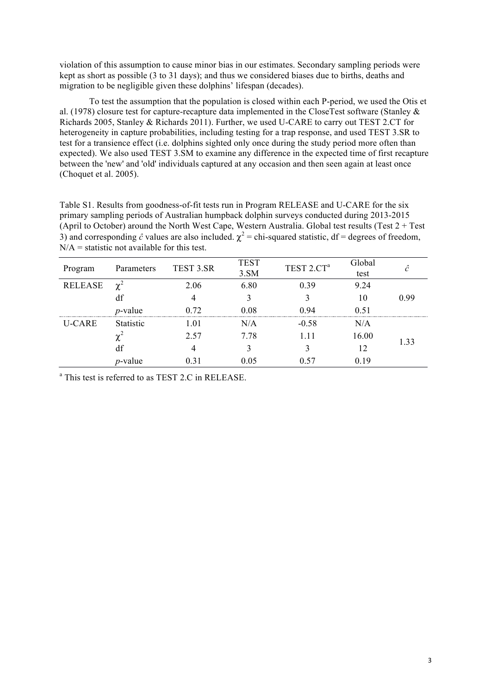violation of this assumption to cause minor bias in our estimates. Secondary sampling periods were kept as short as possible (3 to 31 days); and thus we considered biases due to births, deaths and migration to be negligible given these dolphins' lifespan (decades).

To test the assumption that the population is closed within each P-period, we used the Otis et al. (1978) closure test for capture-recapture data implemented in the CloseTest software (Stanley & Richards 2005, Stanley & Richards 2011). Further, we used U-CARE to carry out TEST 2.CT for heterogeneity in capture probabilities, including testing for a trap response, and used TEST 3.SR to test for a transience effect (i.e. dolphins sighted only once during the study period more often than expected). We also used TEST 3.SM to examine any difference in the expected time of first recapture between the 'new' and 'old' individuals captured at any occasion and then seen again at least once (Choquet et al. 2005).

Table S1. Results from goodness-of-fit tests run in Program RELEASE and U-CARE for the six primary sampling periods of Australian humpback dolphin surveys conducted during 2013-2015 (April to October) around the North West Cape, Western Australia. Global test results (Test 2 + Test 3) and corresponding  $\hat{c}$  values are also included.  $\chi^2$  = chi-squared statistic, df = degrees of freedom,  $N/A$  = statistic not available for this test.

| Program        | Parameters      | TEST 3.SR | <b>TEST</b><br>3.5M | TEST 2.CT <sup>a</sup> | Global<br>test | ĉ    |
|----------------|-----------------|-----------|---------------------|------------------------|----------------|------|
| <b>RELEASE</b> | $\gamma^2$      | 2.06      | 6.80                | 0.39                   | 9.24           |      |
|                | df              |           |                     |                        | 10             | 0.99 |
|                | $p$ -value      | 0.72      | 0.08                | 0.94                   | 0.51           |      |
| U-CARE         | Statistic       | 1.01      | N/A                 | $-0.58$                | N/A            |      |
|                | $\mathbf{v}^2$  | 2.57      | 7.78                |                        | 16.00          | 1.33 |
|                | df              |           |                     |                        |                |      |
|                | <i>p</i> -value | 0.31      | 0.05                | 0.57                   | 0.19           |      |

<sup>a</sup> This test is referred to as TEST 2.C in RELEASE.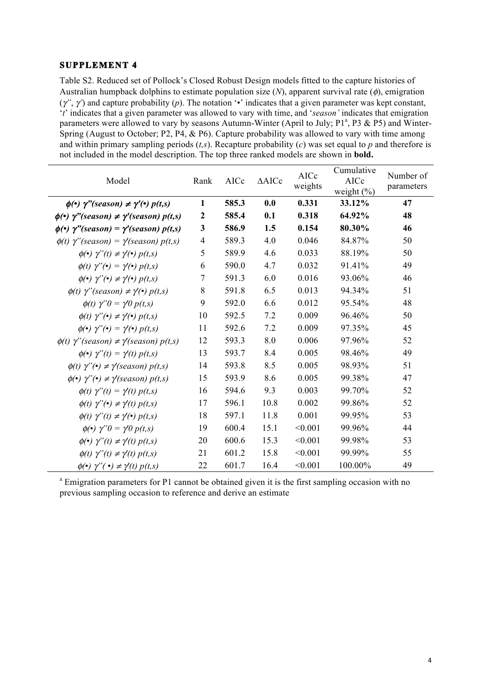# **SUPPLEMENT 4**

Table S2. Reduced set of Pollock's Closed Robust Design models fitted to the capture histories of Australian humpback dolphins to estimate population size (*N*), apparent survival rate (φ), emigration (γ*"*, γ*'*) and capture probability (*p*). The notation '•' indicates that a given parameter was kept constant, '*t*' indicates that a given parameter was allowed to vary with time, and '*season'* indicates that emigration parameters were allowed to vary by seasons Autumn-Winter (April to July;  $P1^a$ , P3 & P5) and Winter-Spring (August to October; P2, P4, & P6). Capture probability was allowed to vary with time among and within primary sampling periods (*t,s*). Recapture probability (*c*) was set equal to *p* and therefore is not included in the model description. The top three ranked models are shown in **bold.**

| Model                                                                                  | Rank             | AICc  | $\triangle$ AICc | AICc<br>weights | Cumulative<br>AICc<br>weight $(\% )$ | Number of<br>parameters |
|----------------------------------------------------------------------------------------|------------------|-------|------------------|-----------------|--------------------------------------|-------------------------|
| $\phi(\cdot)$ $\gamma$ "(season) $\neq \gamma'(\cdot)$ $p(t,s)$                        | $\mathbf{1}$     | 585.3 | 0.0              | 0.331           | 33.12%                               | 47                      |
| $\phi(\cdot)$ $\gamma$ "(season) $\neq \gamma$ '(season) $p(t,s)$                      | $\boldsymbol{2}$ | 585.4 | 0.1              | 0.318           | 64.92%                               | 48                      |
| $\phi(\cdot)$ $\gamma$ "(season) = $\gamma$ '(season) $p(t,s)$                         | 3                | 586.9 | 1.5              | 0.154           | 80.30%                               | 46                      |
| $\phi(t)$ $\gamma$ "(season) = $\gamma$ (season) $p(t,s)$                              | $\overline{4}$   | 589.3 | 4.0              | 0.046           | 84.87%                               | 50                      |
| $\phi(\bullet)$ $\gamma''(t) \neq \gamma'(\bullet)$ $p(t,s)$                           | 5                | 589.9 | 4.6              | 0.033           | 88.19%                               | 50                      |
| $\phi(t)$ $\gamma$ " $\left(\bullet\right)$ = $\gamma$ $\left(\bullet\right)$ $p(t,s)$ | 6                | 590.0 | 4.7              | 0.032           | 91.41%                               | 49                      |
| $\phi(\bullet)$ $\gamma$ " $(\bullet) \neq \gamma(\bullet)$ $p(t,s)$                   | 7                | 591.3 | 6.0              | 0.016           | 93.06%                               | 46                      |
| $\phi(t)$ $\gamma$ ''(season) $\neq \gamma(\cdot)$ $p(t,s)$                            | 8                | 591.8 | 6.5              | 0.013           | 94.34%                               | 51                      |
| $\phi(t)$ $\gamma$ " $0 = \gamma t0 p(t,s)$                                            | 9                | 592.0 | 6.6              | 0.012           | 95.54%                               | 48                      |
| $\phi(t)$ $\gamma$ " $\left(\bullet\right) \neq \gamma\left(\bullet\right) p(t,s)$     | 10               | 592.5 | 7.2              | 0.009           | 96.46%                               | 50                      |
| $\phi(\bullet)$ $\gamma''(\bullet) = \gamma(\bullet)$ $p(t,s)$                         | 11               | 592.6 | 7.2              | 0.009           | 97.35%                               | 45                      |
| $\phi(t)$ $\gamma$ "(season) $\neq \gamma$ (season) $p(t,s)$                           | 12               | 593.3 | 8.0              | 0.006           | 97.96%                               | 52                      |
| $\phi(\cdot)$ $\gamma''(t) = \gamma'(t) p(t,s)$                                        | 13               | 593.7 | 8.4              | 0.005           | 98.46%                               | 49                      |
| $\phi(t)$ $\gamma$ " $\left(\cdot\right) \neq \gamma$ (season) $p(t,s)$                | 14               | 593.8 | 8.5              | 0.005           | 98.93%                               | 51                      |
| $\phi(\cdot)$ $\gamma$ " $(\cdot) \neq \gamma$ (season) $p(t,s)$                       | 15               | 593.9 | 8.6              | 0.005           | 99.38%                               | 47                      |
| $\phi(t)$ $\gamma''(t) = \gamma'(t) p(t,s)$                                            | 16               | 594.6 | 9.3              | 0.003           | 99.70%                               | 52                      |
| $\phi(t)$ $\gamma$ " $\left(\cdot\right) \neq \gamma$ $\left(t\right)$ $p(t,s)$        | 17               | 596.1 | 10.8             | 0.002           | 99.86%                               | 52                      |
| $\phi(t)$ $\gamma''(t) \neq \gamma'(t)$ $p(t,s)$                                       | 18               | 597.1 | 11.8             | 0.001           | 99.95%                               | 53                      |
| $\phi(\bullet)$ $\gamma''0 = \gamma'0 p(t,s)$                                          | 19               | 600.4 | 15.1             | < 0.001         | 99.96%                               | 44                      |
| $\phi(\cdot)$ $\gamma''(t) \neq \gamma'(t) p(t,s)$                                     | 20               | 600.6 | 15.3             | < 0.001         | 99.98%                               | 53                      |
| $\phi(t)$ $\gamma''(t) \neq \gamma'(t)$ $p(t,s)$                                       | 21               | 601.2 | 15.8             | < 0.001         | 99.99%                               | 55                      |
| $\phi(\cdot)$ $\gamma$ " $(\cdot) \neq \gamma(t)$ $p(t,s)$                             | 22               | 601.7 | 16.4             | < 0.001         | 100.00%                              | 49                      |

<sup>a</sup> Emigration parameters for P1 cannot be obtained given it is the first sampling occasion with no previous sampling occasion to reference and derive an estimate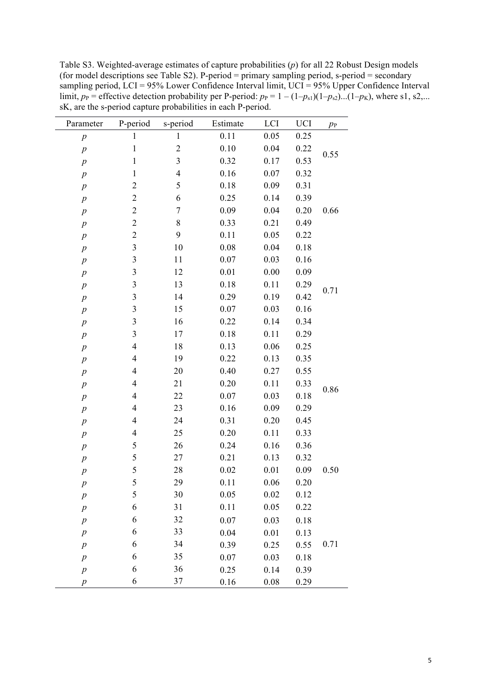Table S3. Weighted-average estimates of capture probabilities (*p*) for all 22 Robust Design models (for model descriptions see Table S2). P-period = primary sampling period, s-period = secondary sampling period, LCI = 95% Lower Confidence Interval limit, UCI = 95% Upper Confidence Interval limit,  $p_P$  = effective detection probability per P-period:  $p_P = 1 - (1-p_{s1})(1-p_{s2})$ ...(1– $p_K$ ), where s1, s2,... sK, are the s-period capture probabilities in each P-period.

| Parameter        | P-period                 | s-period         | Estimate | LCI  | UCI  | $p_{\rm P}$ |
|------------------|--------------------------|------------------|----------|------|------|-------------|
| $\boldsymbol{p}$ | $\mathbf{1}$             | $\mathbf{1}$     | $0.11\,$ | 0.05 | 0.25 |             |
| $\boldsymbol{p}$ | $\,1$                    | $\overline{c}$   | 0.10     | 0.04 | 0.22 | 0.55        |
| $\boldsymbol{p}$ | $\mathbf{1}$             | 3                | 0.32     | 0.17 | 0.53 |             |
| $\boldsymbol{p}$ | $\mathbf{1}$             | $\overline{4}$   | 0.16     | 0.07 | 0.32 |             |
| $\,p$            | $\overline{c}$           | 5                | 0.18     | 0.09 | 0.31 |             |
| $\boldsymbol{p}$ | $\overline{c}$           | 6                | 0.25     | 0.14 | 0.39 |             |
| $\,p\,$          | $\overline{c}$           | $\boldsymbol{7}$ | 0.09     | 0.04 | 0.20 | 0.66        |
| $\boldsymbol{p}$ | $\overline{c}$           | 8                | 0.33     | 0.21 | 0.49 |             |
| $\,p$            | $\overline{c}$           | 9                | 0.11     | 0.05 | 0.22 |             |
| $\boldsymbol{p}$ | $\mathfrak{Z}$           | 10               | 0.08     | 0.04 | 0.18 |             |
| $\,p\,$          | $\mathfrak{Z}$           | 11               | 0.07     | 0.03 | 0.16 |             |
| $\boldsymbol{p}$ | $\mathfrak{Z}$           | 12               | 0.01     | 0.00 | 0.09 |             |
| $\,p$            | $\mathfrak{Z}$           | 13               | 0.18     | 0.11 | 0.29 |             |
| $\boldsymbol{p}$ | $\mathfrak{Z}$           | 14               | 0.29     | 0.19 | 0.42 | 0.71        |
| $\,p\,$          | $\mathfrak{Z}$           | 15               | 0.07     | 0.03 | 0.16 |             |
| $\boldsymbol{p}$ | $\mathfrak{Z}$           | 16               | 0.22     | 0.14 | 0.34 |             |
| $\,p$            | $\mathfrak{Z}$           | 17               | 0.18     | 0.11 | 0.29 |             |
| $\boldsymbol{p}$ | $\overline{4}$           | 18               | 0.13     | 0.06 | 0.25 |             |
| $\,p\,$          | 4                        | 19               | 0.22     | 0.13 | 0.35 |             |
| $\boldsymbol{p}$ | 4                        | 20               | 0.40     | 0.27 | 0.55 |             |
| $\,p$            | 4                        | 21               | 0.20     | 0.11 | 0.33 |             |
| $\boldsymbol{p}$ | $\overline{4}$           | 22               | 0.07     | 0.03 | 0.18 | 0.86        |
| $\,p\,$          | 4                        | 23               | 0.16     | 0.09 | 0.29 |             |
| $\boldsymbol{p}$ | 4                        | 24               | 0.31     | 0.20 | 0.45 |             |
| $\,p$            | $\overline{\mathcal{A}}$ | 25               | 0.20     | 0.11 | 0.33 |             |
| $\boldsymbol{p}$ | $\sqrt{5}$               | 26               | 0.24     | 0.16 | 0.36 |             |
| $\,p$            | 5                        | 27               | 0.21     | 0.13 | 0.32 |             |
| $\boldsymbol{p}$ | 5                        | 28               | 0.02     | 0.01 | 0.09 | 0.50        |
| р                | 5                        | 29               | 0.11     | 0.06 | 0.20 |             |
| $\,p$            | $\sqrt{5}$               | 30               | 0.05     | 0.02 | 0.12 |             |
| $\boldsymbol{p}$ | 6                        | 31               | 0.11     | 0.05 | 0.22 |             |
| $\boldsymbol{p}$ | 6                        | 32               | 0.07     | 0.03 | 0.18 |             |
| $\,p\,$          | 6                        | 33               | 0.04     | 0.01 | 0.13 |             |
| $\boldsymbol{p}$ | 6                        | 34               | 0.39     | 0.25 | 0.55 | 0.71        |
| $\,p\,$          | 6                        | 35               | 0.07     | 0.03 | 0.18 |             |
| $\boldsymbol{p}$ | 6                        | 36               | 0.25     | 0.14 | 0.39 |             |
| $\boldsymbol{p}$ | 6                        | $37\,$           | 0.16     | 0.08 | 0.29 |             |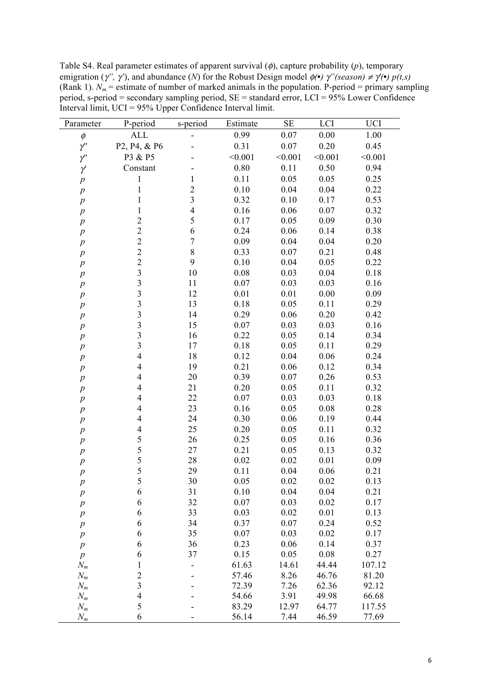Table S4. Real parameter estimates of apparent survival (φ), capture probability (*p*), temporary emigration ( $\gamma'$ ,  $\gamma'$ ), and abundance (*N*) for the Robust Design model  $\phi(\cdot)$   $\gamma''(season) \neq \gamma(\cdot) p(t,s)$ (Rank 1).  $N_m$  = estimate of number of marked animals in the population. P-period = primary sampling period, s-period = secondary sampling period, SE = standard error, LCI = 95% Lower Confidence Interval limit, UCI = 95% Upper Confidence Interval limit.

| Parameter        | P-period                 | s-period                | Estimate | $\rm SE$ | LCI     | <b>UCI</b> |
|------------------|--------------------------|-------------------------|----------|----------|---------|------------|
| $\phi$           | <b>ALL</b>               |                         | 0.99     | 0.07     | 0.00    | 1.00       |
| $\gamma'$        | P2, P4, & P6             |                         | 0.31     | 0.07     | 0.20    | 0.45       |
| $\gamma'$        | P3 & P5                  |                         | < 0.001  | < 0.001  | < 0.001 | < 0.001    |
| $\gamma'$        | Constant                 |                         | 0.80     | 0.11     | 0.50    | 0.94       |
| $\,p\,$          | $\mathbf{1}$             | $\mathbf{1}$            | 0.11     | 0.05     | 0.05    | 0.25       |
| $\,p\,$          | $\mathbf{1}$             | $\overline{c}$          | 0.10     | 0.04     | 0.04    | 0.22       |
| $\,p\,$          | $\mathbf{1}$             | $\overline{\mathbf{3}}$ | 0.32     | 0.10     | 0.17    | 0.53       |
| $\,p\,$          | 1                        | $\overline{4}$          | 0.16     | 0.06     | 0.07    | 0.32       |
| $\,p\,$          | $\overline{c}$           | 5                       | 0.17     | 0.05     | 0.09    | 0.30       |
| $\,p\,$          | $\overline{2}$           | 6                       | 0.24     | 0.06     | 0.14    | 0.38       |
| $\,p\,$          | $\overline{c}$           | $\overline{7}$          | 0.09     | 0.04     | 0.04    | 0.20       |
| $\,p\,$          | $\overline{c}$           | 8                       | 0.33     | 0.07     | 0.21    | 0.48       |
| $\,p\,$          | $\overline{c}$           | 9                       | 0.10     | 0.04     | 0.05    | 0.22       |
| $\,p\,$          | $\overline{\mathbf{3}}$  | 10                      | 0.08     | 0.03     | 0.04    | 0.18       |
| $\boldsymbol{p}$ | $\overline{\mathbf{3}}$  | 11                      | 0.07     | 0.03     | 0.03    | 0.16       |
| $p\,$            | $\overline{\mathbf{3}}$  | 12                      | 0.01     | 0.01     | 0.00    | 0.09       |
| $\boldsymbol{p}$ | $\overline{3}$           | 13                      | 0.18     | 0.05     | 0.11    | 0.29       |
| $p\,$            | $\overline{\mathbf{3}}$  | 14                      | 0.29     | 0.06     | 0.20    | 0.42       |
| $p\,$            | $\overline{\mathbf{3}}$  | 15                      | 0.07     | 0.03     | 0.03    | 0.16       |
| $\boldsymbol{p}$ | $\overline{\mathbf{3}}$  | 16                      | 0.22     | 0.05     | 0.14    | 0.34       |
| $\,p\,$          | $\overline{\mathbf{3}}$  | 17                      | 0.18     | 0.05     | 0.11    | 0.29       |
| $\boldsymbol{p}$ | $\overline{\mathbf{4}}$  | 18                      | 0.12     | 0.04     | 0.06    | 0.24       |
| $\,p\,$          | $\overline{\mathbf{4}}$  | 19                      | 0.21     | 0.06     | 0.12    | 0.34       |
| $\,p\,$          | $\overline{\mathcal{A}}$ | 20                      | 0.39     | 0.07     | 0.26    | 0.53       |
| $\,p\,$          | $\overline{\mathcal{A}}$ | 21                      | 0.20     | 0.05     | 0.11    | 0.32       |
| $p\,$            | $\overline{\mathcal{A}}$ | 22                      | 0.07     | 0.03     | 0.03    | 0.18       |
| $\boldsymbol{p}$ | 4                        | 23                      | 0.16     | 0.05     | 0.08    | 0.28       |
| $\boldsymbol{p}$ | $\overline{4}$           | 24                      | 0.30     | 0.06     | 0.19    | 0.44       |
| $\,p\,$          | $\overline{4}$           | 25                      | 0.20     | 0.05     | 0.11    | 0.32       |
| $\,p\,$          | 5                        | 26                      | 0.25     | 0.05     | 0.16    | 0.36       |
| $\,p\,$          | 5                        | 27                      | 0.21     | 0.05     | 0.13    | 0.32       |
| $\,p$            | 5                        | 28                      | 0.02     | 0.02     | 0.01    | 0.09       |
| $\,p\,$          | 5                        | 29                      | 0.11     | 0.04     | 0.06    | 0.21       |
| $\boldsymbol{p}$ | 5                        | 30                      | 0.05     | 0.02     | 0.02    | 0.13       |
| $\,p\,$          | 6                        | 31                      | 0.10     | 0.04     | 0.04    | 0.21       |
| $\boldsymbol{p}$ | 6                        | 32                      | 0.07     | 0.03     | 0.02    | 0.17       |
| $\boldsymbol{p}$ | 6                        | 33                      | 0.03     | 0.02     | 0.01    | 0.13       |
| $\,p\,$          | 6                        | 34                      | 0.37     | 0.07     | 0.24    | 0.52       |
| $\boldsymbol{p}$ | 6                        | 35                      | 0.07     | 0.03     | 0.02    | 0.17       |
| $\boldsymbol{p}$ | 6                        | 36                      | 0.23     | 0.06     | 0.14    | 0.37       |
| $\,p\,$          | 6                        | 37                      | 0.15     | 0.05     | 0.08    | 0.27       |
| $N_m$            | $\mathbf{1}$             |                         | 61.63    | 14.61    | 44.44   | 107.12     |
| $N_m$            | $\overline{c}$           |                         | 57.46    | 8.26     | 46.76   | 81.20      |
| $N_m$            | $\overline{\mathbf{3}}$  |                         | 72.39    | 7.26     | 62.36   | 92.12      |
| $N_m$            | $\overline{4}$           |                         | 54.66    | 3.91     | 49.98   | 66.68      |
| $N_m$            | 5                        |                         | 83.29    | 12.97    | 64.77   | 117.55     |
| $N_m$            | 6                        |                         | 56.14    | 7.44     | 46.59   | 77.69      |
|                  |                          |                         |          |          |         |            |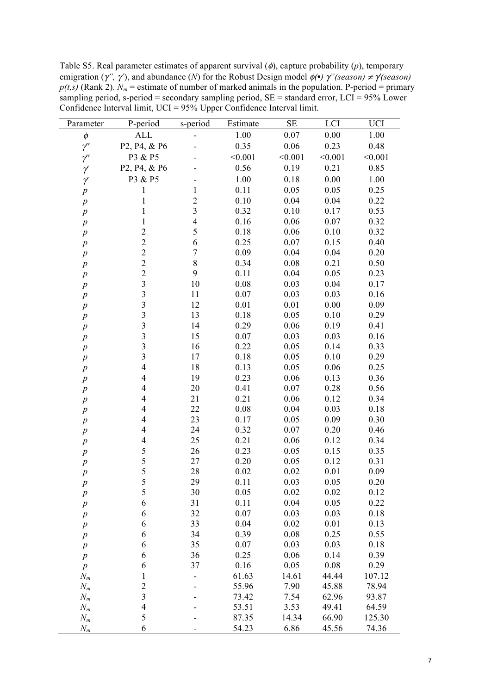Table S5. Real parameter estimates of apparent survival (φ), capture probability (*p*), temporary emigration (γ*",* γ*'*), and abundance (*N*) for the Robust Design model φ*(***•***)* γ*"(season)* <sup>≠</sup> γ*'(season)*   $p(t,s)$  (Rank 2).  $N_m$  = estimate of number of marked animals in the population. P-period = primary sampling period, s-period = secondary sampling period, SE = standard error, LCI = 95% Lower Confidence Interval limit, UCI = 95% Upper Confidence Interval limit.

| Parameter        | P-period                                           | s-period                | Estimate | $\rm SE$ | LCI      | UCI     |
|------------------|----------------------------------------------------|-------------------------|----------|----------|----------|---------|
| $\phi$           | <b>ALL</b>                                         |                         | 1.00     | 0.07     | 0.00     | 1.00    |
| $\gamma'$        | P2, P4, & P6                                       |                         | 0.35     | 0.06     | 0.23     | 0.48    |
| $\gamma'$        | P3 & P5                                            |                         | < 0.001  | < 0.001  | < 0.001  | < 0.001 |
| γ                | P <sub>2</sub> , P <sub>4</sub> , & P <sub>6</sub> |                         | 0.56     | 0.19     | 0.21     | 0.85    |
| γ                | P3 & P5                                            |                         | 1.00     | 0.18     | 0.00     | 1.00    |
| $\boldsymbol{p}$ | 1                                                  | 1                       | 0.11     | 0.05     | 0.05     | 0.25    |
| $\boldsymbol{p}$ | $\mathbf{1}$                                       | $\overline{c}$          | 0.10     | 0.04     | 0.04     | 0.22    |
| $\boldsymbol{p}$ | 1                                                  | $\overline{\mathbf{3}}$ | 0.32     | 0.10     | 0.17     | 0.53    |
| $\boldsymbol{p}$ | 1                                                  | $\overline{4}$          | 0.16     | 0.06     | 0.07     | 0.32    |
| $\boldsymbol{p}$ | $\overline{c}$                                     | 5                       | 0.18     | 0.06     | 0.10     | 0.32    |
| $\boldsymbol{p}$ | $\overline{c}$                                     | 6                       | 0.25     | 0.07     | 0.15     | 0.40    |
| $\boldsymbol{p}$ | $\overline{2}$                                     | $\sqrt{ }$              | 0.09     | 0.04     | 0.04     | 0.20    |
| $\boldsymbol{p}$ | $\overline{c}$                                     | 8                       | 0.34     | 0.08     | 0.21     | 0.50    |
| $\boldsymbol{p}$ | $\overline{c}$                                     | 9                       | 0.11     | 0.04     | 0.05     | 0.23    |
| $\boldsymbol{p}$ | $\overline{\mathbf{3}}$                            | 10                      | 0.08     | 0.03     | 0.04     | 0.17    |
| $\boldsymbol{p}$ | $\overline{\mathbf{3}}$                            | 11                      | 0.07     | 0.03     | 0.03     | 0.16    |
| $\boldsymbol{p}$ | $\overline{\mathbf{3}}$                            | 12                      | 0.01     | 0.01     | 0.00     | 0.09    |
| $\boldsymbol{p}$ | $\overline{\mathbf{3}}$                            | 13                      | 0.18     | 0.05     | 0.10     | 0.29    |
| $\boldsymbol{p}$ | $\overline{\mathbf{3}}$                            | 14                      | 0.29     | 0.06     | 0.19     | 0.41    |
| $\boldsymbol{p}$ | $\overline{\mathbf{3}}$                            | 15                      | 0.07     | 0.03     | 0.03     | 0.16    |
| $\boldsymbol{p}$ | $\overline{\mathbf{3}}$                            | 16                      | 0.22     | 0.05     | 0.14     | 0.33    |
| $\boldsymbol{p}$ | $\overline{\mathbf{3}}$                            | 17                      | 0.18     | 0.05     | 0.10     | 0.29    |
| $\boldsymbol{p}$ | $\overline{4}$                                     | 18                      | 0.13     | 0.05     | 0.06     | 0.25    |
| $\boldsymbol{p}$ | 4                                                  | 19                      | 0.23     | 0.06     | 0.13     | 0.36    |
| $\boldsymbol{p}$ | 4                                                  | 20                      | 0.41     | 0.07     | 0.28     | 0.56    |
| $\boldsymbol{p}$ | $\overline{\mathcal{A}}$                           | 21                      | 0.21     | 0.06     | 0.12     | 0.34    |
| $\boldsymbol{p}$ | $\overline{\mathcal{A}}$                           | 22                      | 0.08     | 0.04     | 0.03     | 0.18    |
| $\boldsymbol{p}$ | $\overline{\mathcal{A}}$                           | 23                      | 0.17     | 0.05     | 0.09     | 0.30    |
| $\boldsymbol{p}$ | 4                                                  | 24                      | 0.32     | 0.07     | 0.20     | 0.46    |
| $\boldsymbol{p}$ | 4                                                  | 25                      | 0.21     | 0.06     | 0.12     | 0.34    |
| $\boldsymbol{p}$ | 5                                                  | 26                      | 0.23     | 0.05     | 0.15     | 0.35    |
| $\boldsymbol{p}$ | $\frac{5}{5}$                                      | 27                      | 0.20     | 0.05     | 0.12     | 0.31    |
| $\boldsymbol{p}$ |                                                    | 28                      | 0.02     | 0.02     | 0.01     | 0.09    |
| $\boldsymbol{p}$ | 5                                                  | 29                      | 0.11     | 0.03     | $0.05\,$ | 0.20    |
| $\boldsymbol{p}$ | 5                                                  | 30                      | 0.05     | 0.02     | 0.02     | 0.12    |
| $\boldsymbol{p}$ | 6                                                  | 31                      | 0.11     | 0.04     | 0.05     | 0.22    |
| $\boldsymbol{p}$ | 6                                                  | 32                      | 0.07     | 0.03     | 0.03     | 0.18    |
| $\boldsymbol{p}$ | 6                                                  | 33                      | 0.04     | 0.02     | 0.01     | 0.13    |
| $\boldsymbol{p}$ | 6                                                  | 34                      | 0.39     | 0.08     | 0.25     | 0.55    |
| $\boldsymbol{p}$ | 6                                                  | 35                      | 0.07     | 0.03     | 0.03     | 0.18    |
| $\boldsymbol{p}$ | 6                                                  | 36                      | 0.25     | 0.06     | 0.14     | 0.39    |
| $\boldsymbol{p}$ | 6                                                  | 37                      | 0.16     | 0.05     | 0.08     | 0.29    |
| $N_m$            | 1                                                  |                         | 61.63    | 14.61    | 44.44    | 107.12  |
| $N_m$            | 2                                                  |                         | 55.96    | 7.90     | 45.88    | 78.94   |
| $N_m$            | 3                                                  |                         | 73.42    | 7.54     | 62.96    | 93.87   |
| $N_m$            | 4                                                  |                         | 53.51    | 3.53     | 49.41    | 64.59   |
| $N_m$            | 5                                                  |                         | 87.35    | 14.34    | 66.90    | 125.30  |
| $N_m$            | 6                                                  |                         | 54.23    | 6.86     | 45.56    | 74.36   |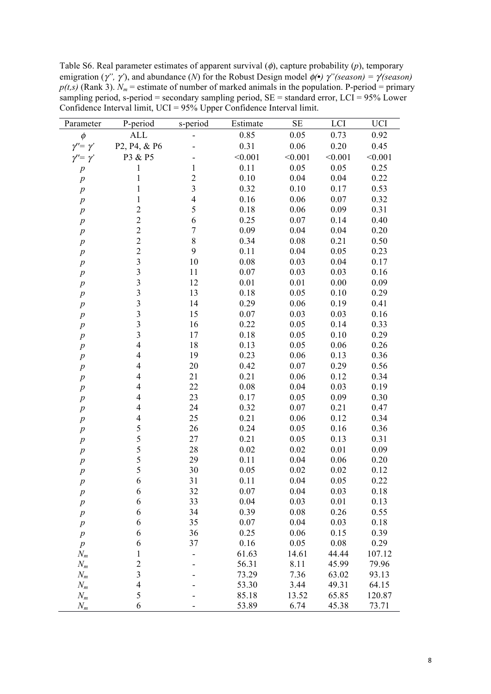Table S6. Real parameter estimates of apparent survival (φ), capture probability (*p*), temporary emigration ( $\gamma'$ ,  $\gamma'$ ), and abundance (*N*) for the Robust Design model  $\phi(\cdot)$   $\gamma''(season) = \gamma(season)$  $p(t,s)$  (Rank 3).  $N_m$  = estimate of number of marked animals in the population. P-period = primary sampling period, s-period = secondary sampling period, SE = standard error, LCI = 95% Lower Confidence Interval limit, UCI = 95% Upper Confidence Interval limit.

| Parameter            | P-period                | s-period                | Estimate | $\rm SE$ | LCI     | <b>UCI</b> |
|----------------------|-------------------------|-------------------------|----------|----------|---------|------------|
| $\phi$               | <b>ALL</b>              |                         | 0.85     | 0.05     | 0.73    | 0.92       |
| $\gamma'' = \gamma'$ | P2, P4, & P6            |                         | 0.31     | 0.06     | 0.20    | 0.45       |
| $\gamma'' = \gamma'$ | P3 & P5                 |                         | < 0.001  | < 0.001  | < 0.001 | < 0.001    |
| $\boldsymbol{p}$     | $\mathbf{1}$            | $\mathbf{1}$            | 0.11     | 0.05     | 0.05    | 0.25       |
| $\boldsymbol{p}$     | $\mathbf{1}$            | $\overline{2}$          | 0.10     | 0.04     | 0.04    | 0.22       |
| $\boldsymbol{p}$     | 1                       | $\overline{\mathbf{3}}$ | 0.32     | 0.10     | 0.17    | 0.53       |
| $\boldsymbol{p}$     | 1                       | $\overline{4}$          | 0.16     | 0.06     | 0.07    | 0.32       |
| $\boldsymbol{p}$     | $\overline{c}$          | 5                       | 0.18     | 0.06     | 0.09    | 0.31       |
| $\boldsymbol{p}$     | $\overline{c}$          | 6                       | 0.25     | 0.07     | 0.14    | 0.40       |
| $\boldsymbol{p}$     | $\overline{c}$          | $\overline{7}$          | 0.09     | 0.04     | 0.04    | 0.20       |
| $\boldsymbol{p}$     | $\overline{c}$          | 8                       | 0.34     | 0.08     | 0.21    | 0.50       |
| $\boldsymbol{p}$     | $\overline{c}$          | 9                       | 0.11     | 0.04     | 0.05    | 0.23       |
| $\,p$                | $\overline{\mathbf{3}}$ | 10                      | 0.08     | 0.03     | 0.04    | 0.17       |
| $p\,$                | $\overline{\mathbf{3}}$ | 11                      | 0.07     | 0.03     | 0.03    | 0.16       |
| $\,p\,$              | $\overline{\mathbf{3}}$ | 12                      | 0.01     | 0.01     | 0.00    | 0.09       |
| $\,p\,$              | $\overline{\mathbf{3}}$ | 13                      | 0.18     | 0.05     | 0.10    | 0.29       |
| $\,p\,$              | $\overline{3}$          | 14                      | 0.29     | 0.06     | 0.19    | 0.41       |
| $\boldsymbol{p}$     | $\overline{\mathbf{3}}$ | 15                      | 0.07     | 0.03     | 0.03    | 0.16       |
| $\boldsymbol{p}$     | $\overline{3}$          | 16                      | 0.22     | 0.05     | 0.14    | 0.33       |
| $\boldsymbol{p}$     | $\overline{\mathbf{3}}$ | 17                      | 0.18     | 0.05     | 0.10    | 0.29       |
| $\,p\,$              | $\overline{4}$          | 18                      | 0.13     | 0.05     | 0.06    | 0.26       |
| $\boldsymbol{p}$     | $\overline{4}$          | 19                      | 0.23     | 0.06     | 0.13    | 0.36       |
| $\boldsymbol{p}$     | 4                       | 20                      | 0.42     | 0.07     | 0.29    | 0.56       |
| $\boldsymbol{p}$     | 4                       | 21                      | 0.21     | 0.06     | 0.12    | 0.34       |
| $\boldsymbol{p}$     | $\overline{4}$          | 22                      | 0.08     | 0.04     | 0.03    | 0.19       |
| $\boldsymbol{p}$     | 4                       | 23                      | 0.17     | 0.05     | 0.09    | 0.30       |
| $\boldsymbol{p}$     | 4                       | 24                      | 0.32     | 0.07     | 0.21    | 0.47       |
| $\,p\,$              | $\overline{4}$          | 25                      | 0.21     | 0.06     | 0.12    | 0.34       |
| $\,p\,$              | 5                       | 26                      | 0.24     | 0.05     | 0.16    | 0.36       |
| $\,p\,$              | 5                       | 27                      | 0.21     | 0.05     | 0.13    | 0.31       |
| $\,p\,$              | 5                       | 28                      | 0.02     | 0.02     | 0.01    | 0.09       |
| $\boldsymbol{p}$     | 5                       | 29                      | 0.11     | 0.04     | 0.06    | 0.20       |
| $\boldsymbol{p}$     | 5                       | 30                      | 0.05     | 0.02     | 0.02    | 0.12       |
| $\boldsymbol{p}$     | 6                       | 31                      | 0.11     | 0.04     | 0.05    | 0.22       |
| $\,p\,$              | 6                       | 32                      | 0.07     | 0.04     | 0.03    | 0.18       |
| $\boldsymbol{p}$     | 6                       | 33                      | 0.04     | 0.03     | 0.01    | 0.13       |
| $\boldsymbol{p}$     | 6                       | 34                      | 0.39     | 0.08     | 0.26    | 0.55       |
| $p\,$                | 6                       | 35                      | 0.07     | 0.04     | 0.03    | 0.18       |
| $\,p\,$              | 6                       | 36                      | 0.25     | 0.06     | 0.15    | 0.39       |
| $\,p\,$              | 6                       | 37                      | 0.16     | 0.05     | 0.08    | 0.29       |
| $N_m$                | $\mathbf{1}$            |                         | 61.63    | 14.61    | 44.44   | 107.12     |
| $N_m$                | $\overline{c}$          |                         | 56.31    | 8.11     | 45.99   | 79.96      |
| $N_m$                | $\overline{\mathbf{3}}$ |                         | 73.29    | 7.36     | 63.02   | 93.13      |
| $N_m$                | $\overline{4}$          |                         | 53.30    | 3.44     | 49.31   | 64.15      |
| $N_m$                | 5                       |                         | 85.18    | 13.52    | 65.85   | 120.87     |
| $N_m$                | 6                       |                         | 53.89    | 6.74     | 45.38   | 73.71      |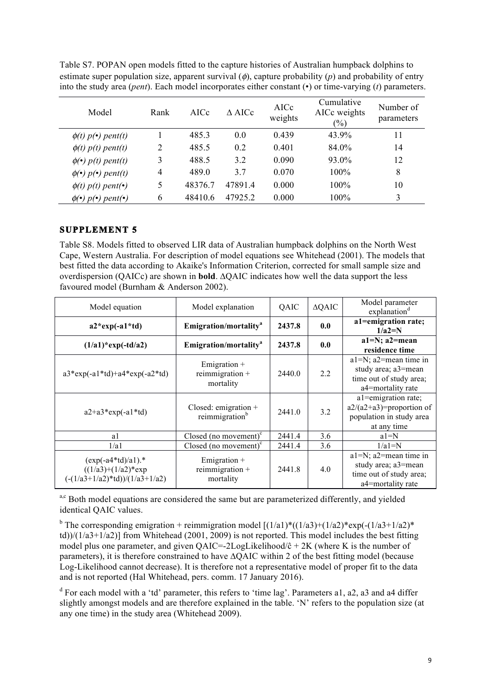| $\mu$ and the state (perfect). Each model medipolates charge constant (°) of third varying ( <i>i</i> ) parameters. |      |         |                  |                 |                                      |                         |
|---------------------------------------------------------------------------------------------------------------------|------|---------|------------------|-----------------|--------------------------------------|-------------------------|
| Model                                                                                                               | Rank | AICc    | $\triangle$ AICc | AICc<br>weights | Cumulative<br>AICc weights<br>$(\%)$ | Number of<br>parameters |
| $\phi(t)$ p(•) pent(t)                                                                                              |      | 485.3   | 0.0              | 0.439           | 43.9%                                | 11                      |
| $\phi(t)$ p(t) pent(t)                                                                                              | 2    | 485.5   | 0.2              | 0.401           | 84.0%                                | 14                      |
| $\phi(\bullet)$ p(t) pent(t)                                                                                        | 3    | 488.5   | 3.2              | 0.090           | 93.0%                                | 12                      |
| $\phi(\bullet)$ p( $\bullet$ ) pent(t)                                                                              | 4    | 489.0   | 37               | 0.070           | $100\%$                              | 8                       |
| $\phi(t)$ p(t) pent(•)                                                                                              | 5    | 48376.7 | 47891.4          | 0.000           | 100%                                 | 10                      |
| $\phi(\bullet)$ p( $\bullet$ ) pent( $\bullet$ )                                                                    | 6    | 48410.6 | 47925.2          | 0.000           | 100%                                 | 3                       |

Table S7. POPAN open models fitted to the capture histories of Australian humpback dolphins to estimate super population size, apparent survival (φ), capture probability (*p*) and probability of entry into the study area (*pent*). Each model incorporates either constant (•) or time-varying (*t*) parameters.

# **SUPPLEMENT 5**

Table S8. Models fitted to observed LIR data of Australian humpback dolphins on the North West Cape, Western Australia. For description of model equations see Whitehead (2001). The models that best fitted the data according to Akaike's Information Criterion, corrected for small sample size and overdispersion (QAICc) are shown in **bold**. ∆QAIC indicates how well the data support the less favoured model (Burnham & Anderson 2002).

| Model equation<br>Model explanation                                                                |                                                      | QAIC   | $\triangle$ QAIC | Model parameter<br>explanation <sup>d</sup>                                                        |
|----------------------------------------------------------------------------------------------------|------------------------------------------------------|--------|------------------|----------------------------------------------------------------------------------------------------|
| $a2*exp(-a1*td)$                                                                                   | Emigration/mortality <sup>a</sup><br>2437.8          |        | 0.0              | a1=emigration rate;<br>$1/a2=N$                                                                    |
| $(1/a1)*exp(-td/a2)$                                                                               | Emigration/mortality <sup>a</sup>                    | 2437.8 | 0.0              | a1=N; a2=mean<br>residence time                                                                    |
| $a3*exp(-a1*td)+a4*exp(-a2*td)$                                                                    | Emigration $+$<br>reimmigration $+$<br>mortality     | 2440.0 | 2.2              | $a1=N$ ; $a2$ =mean time in<br>study area; a3=mean<br>time out of study area;<br>a4=mortality rate |
| $a2+a3*exp(-a1*td)$                                                                                | Closed: emigration $+$<br>reimmigration <sup>b</sup> | 2441.0 | 3.2              | a1=emigration rate;<br>$a2/(a2+a3)$ =proportion of<br>population in study area<br>at any time      |
| a1                                                                                                 | Closed (no movement) $\text{c}$                      | 2441.4 | 3.6              | $a1=N$                                                                                             |
| 1/a1                                                                                               | Closed (no movement) $\rm^c$                         | 2441.4 | 3.6              | $1/a1=N$                                                                                           |
| $(exp(-a4*td)/a1).$ *<br>$((1/a3)+(1/a2)*exp$<br>$\left(\frac{-(1/a3+1/a2)}{t}\right)/(1/a3+1/a2)$ | Emigration $+$<br>reimmigration $+$<br>mortality     | 2441.8 | 4.0              | $a1=N$ ; $a2$ =mean time in<br>study area; a3=mean<br>time out of study area;<br>a4=mortality rate |

a,c Both model equations are considered the same but are parameterized differently, and yielded identical QAIC values.

<sup>b</sup> The corresponding emigration + reimmigration model  $[(1/a1)*((1/a3)+(1/a2)*exp(-(1/a3+1/a2)*$ td))/(1/a3+1/a2)] from Whitehead (2001, 2009) is not reported. This model includes the best fitting model plus one parameter, and given  $QAIC = -2LogLikelihood/c + 2K$  (where K is the number of parameters), it is therefore constrained to have ∆QAIC within 2 of the best fitting model (because Log-Likelihood cannot decrease). It is therefore not a representative model of proper fit to the data and is not reported (Hal Whitehead, pers. comm. 17 January 2016).

<sup>d</sup> For each model with a 'td' parameter, this refers to 'time lag'. Parameters a1, a2, a3 and a4 differ slightly amongst models and are therefore explained in the table. 'N' refers to the population size (at any one time) in the study area (Whitehead 2009).